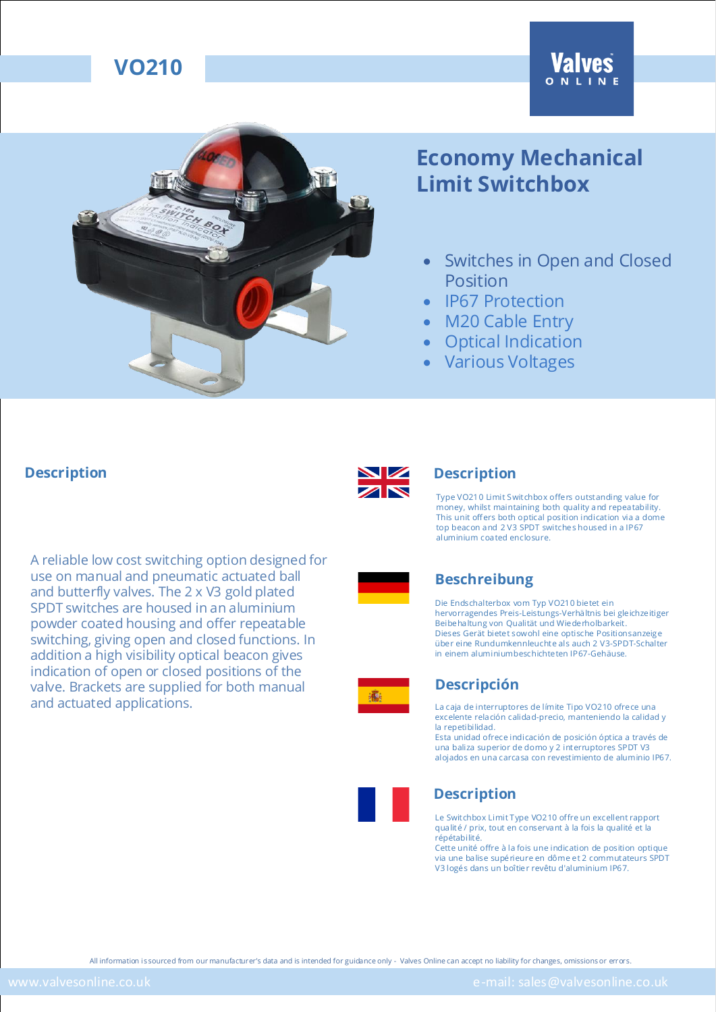# **VO210**





## **Economy Mechanical Limit Switchbox**

- Switches in Open and Closed Position
- IP67 Protection
- M20 Cable Entry
- Optical Indication
- Various Voltages

### **Description**



#### **Description**

Type VO210 Limit Switchbox offers outstanding value for money, whilst maintaining both quality and repeatability. This unit offers both optical position indication via a dome top beacon and 2 V3 SPDT switches housed in a IP67 aluminium coated enclosure.

## **Beschreibung**

Die Endschalterbox vom Typ VO210 bietet ein hervorragendes Preis-Leistungs-Verhältnis bei gleichzeitiger Beibehaltung von Qualität und Wiederholbarkeit. Dieses Gerät bietet sowohl eine optische Positionsanzeige über eine Rundumkennleuchte als auch 2 V3-SPDT-Schalter in einem aluminiumbeschichteten IP67-Gehäuse.



### **Descripción**

#### La caja de interruptores de límite Tipo VO210 ofrece una excelente relación calidad-precio, manteniendo la calidad y

la repetibilidad. Esta unidad ofrece indicación de posición óptica a través de una baliza superior de domo y 2 interruptores SPDT V3 alojados en una carcasa con revestimiento de aluminio IP67.



All information is sourced from our manufacturer's data and is intended for guidance only - Valves Online can accept no liability for changes, omissions or errors.

### **Description**

Le Switchbox Limit Type VO210 offre un excellent rapport qualité / prix, tout en conservant à la fois la qualité et la répétabilité.

Cette unité offre à la fois une indication de position optique via une balise supérieure en dôme et 2 commutateurs SPDT V3 logés dans un boîtier revêtu d'aluminium IP67.

A reliable low cost switching option designed for use on manual and pneumatic actuated ball and butterfly valves. The 2 x V3 gold plated SPDT switches are housed in an aluminium powder coated housing and offer repeatable switching, giving open and closed functions. In addition a high visibility optical beacon gives indication of open or closed positions of the valve. Brackets are supplied for both manual and actuated applications.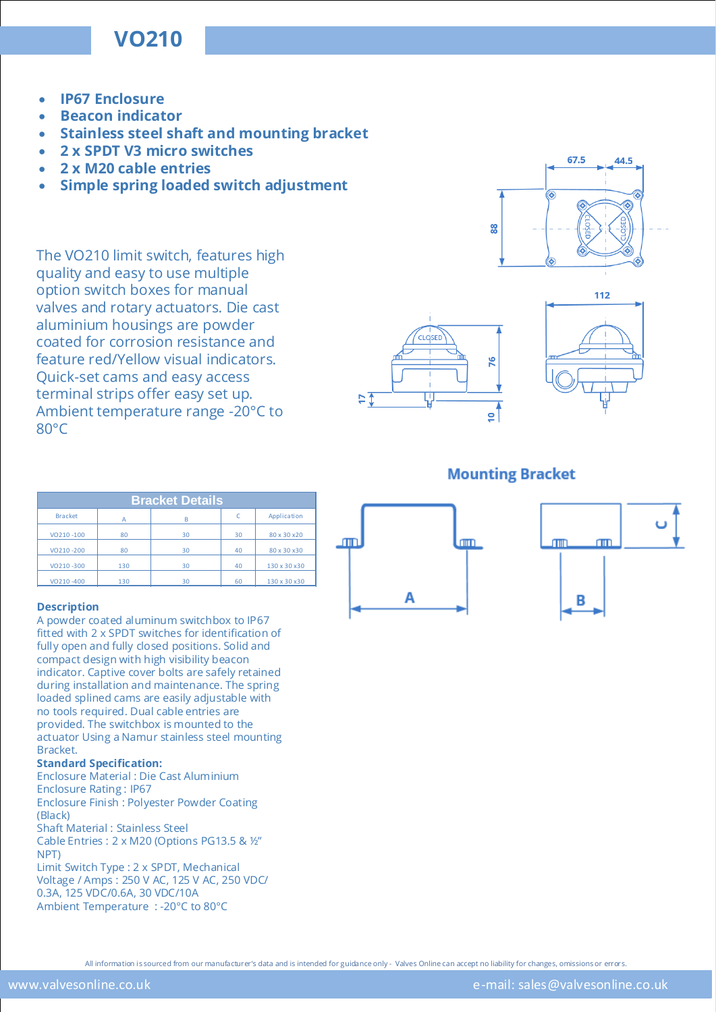## **VO210**

- **IP67 Enclosure**
- **Beacon indicator**
- **Stainless steel shaft and mounting bracket**
- **2 x SPDT V3 micro switches**
- **2 x M20 cable entries**
- **Simple spring loaded switch adjustment**

The VO210 limit switch, features high quality and easy to use multiple option switch boxes for manual valves and rotary actuators. Die cast aluminium housings are powder coated for corrosion resistance and feature red/Yellow visual indicators. Quick-set cams and easy access terminal strips offer easy set up. Ambient temperature range -20°C to 80°C

| <b>Bracket Details</b> |     |    |    |               |  |
|------------------------|-----|----|----|---------------|--|
| <b>Bracket</b>         |     | R  | C  | Application   |  |
| $VO210 - 100$          | 80  | 30 | 30 | 80 x 30 x 20  |  |
| $VO210 - 200$          | 80  | 30 | 40 | 80 x 30 x 30  |  |
| VO210-300              | 130 | 30 | 40 | 130 x 30 x 30 |  |
| VO210-400              | 130 | 30 | 60 | 130 x 30 x 30 |  |

#### **Description**

A powder coated aluminum switchbox to IP67 fitted with 2 x SPDT switches for identification of fully open and fully closed positions. Solid and compact design with high visibility beacon indicator. Captive cover bolts are safely retained during installation and maintenance. The spring loaded splined cams are easily adjustable with no tools required. Dual cable entries are provided. The switchbox is mounted to the actuator Using a Namur stainless steel mounting Bracket.

#### **Standard Specification:**

Enclosure Material : Die Cast Aluminium Enclosure Rating : IP67 Enclosure Finish : Polyester Powder Coating (Black) Shaft Material : Stainless Steel Cable Entries : 2 x M20 (Options PG13.5 & ½" NPT) Limit Switch Type : 2 x SPDT, Mechanical Voltage / Amps : 250 V AC, 125 V AC, 250 VDC/ 0.3A, 125 VDC/0.6A, 30 VDC/10A Ambient Temperature : -20°C to 80°C

67.5 44.5 88





### **Mounting Bracket**